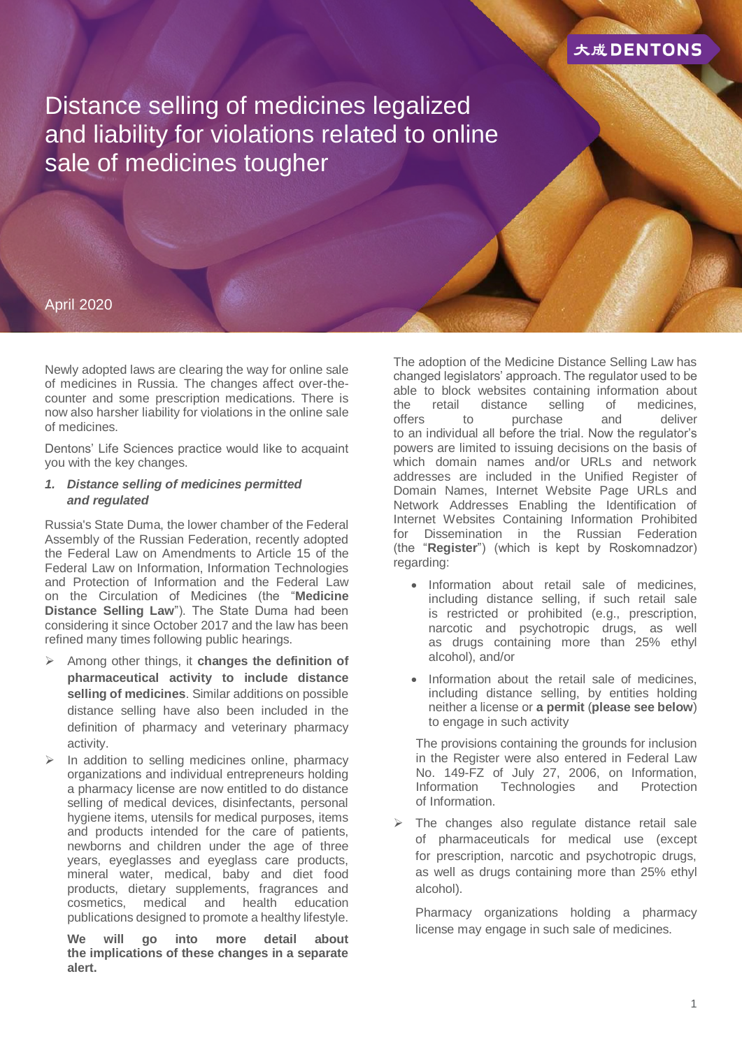

Distance selling of medicines legalized and liability for violations related to online sale of medicines tougher

## April 2020

Newly adopted laws are clearing the way for online sale of medicines in Russia. The changes affect over-thecounter and some prescription medications. There is now also harsher liability for violations in the online sale of medicines.

Dentons' Life Sciences practice would like to acquaint you with the key changes.

#### *1. Distance selling of medicines permitted and regulated*

Russia's State Duma, the lower chamber of the Federal Assembly of the Russian Federation, recently adopted the Federal Law on Amendments to Article 15 of the Federal Law on Information, Information Technologies and Protection of Information and the Federal Law on the Circulation of Medicines (the "**Medicine Distance Selling Law**"). The State Duma had been considering it since October 2017 and the law has been refined many times following public hearings.

- Among other things, it **changes the definition of pharmaceutical activity to include distance selling of medicines**. Similar additions on possible distance selling have also been included in the definition of pharmacy and veterinary pharmacy activity.
- In addition to selling medicines online, pharmacy organizations and individual entrepreneurs holding a pharmacy license are now entitled to do distance selling of medical devices, disinfectants, personal hygiene items, utensils for medical purposes, items and products intended for the care of patients, newborns and children under the age of three years, eyeglasses and eyeglass care products, mineral water, medical, baby and diet food products, dietary supplements, fragrances and cosmetics, medical and health education publications designed to promote a healthy lifestyle.

**We will go into more detail about the implications of these changes in a separate alert.**

The adoption of the Medicine Distance Selling Law has changed legislators' approach. The regulator used to be able to block websites containing information about the retail distance selling of medicines, offers to purchase and deliver to an individual all before the trial. Now the regulator's powers are limited to issuing decisions on the basis of which domain names and/or URLs and network addresses are included in the Unified Register of Domain Names, Internet Website Page URLs and Network Addresses Enabling the Identification of Internet Websites Containing Information Prohibited for Dissemination in the Russian Federation (the "**Register**") (which is kept by Roskomnadzor) regarding:

- Information about retail sale of medicines, including distance selling, if such retail sale is restricted or prohibited (e.g., prescription, narcotic and psychotropic drugs, as well as drugs containing more than 25% ethyl alcohol), and/or
- Information about the retail sale of medicines, including distance selling, by entities holding neither a license or **a permit** (**please see below**) to engage in such activity

The provisions containing the grounds for inclusion in the Register were also entered in Federal Law No. 149-FZ of July 27, 2006, on Information, Information Technologies and Protection of Information.

 The changes also regulate distance retail sale of pharmaceuticals for medical use (except for prescription, narcotic and psychotropic drugs, as well as drugs containing more than 25% ethyl alcohol).

Pharmacy organizations holding a pharmacy license may engage in such sale of medicines.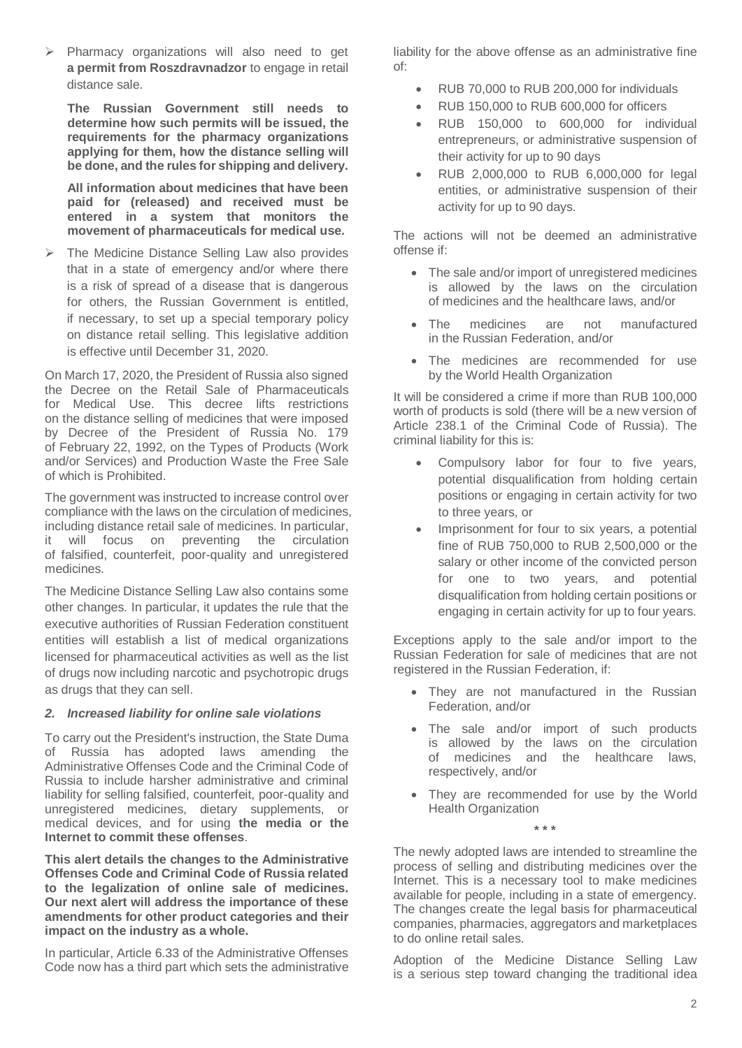$\triangleright$  Pharmacy organizations will also need to get **a permit from Roszdravnadzor** to engage in retail distance sale.

**The Russian Government still needs to determine how such permits will be issued, the requirements for the pharmacy organizations applying for them, how the distance selling will be done, and the rules for shipping and delivery.**

**All information about medicines that have been paid for (released) and received must be entered in a system that monitors the movement of pharmaceuticals for medical use.**

 The Medicine Distance Selling Law also provides that in a state of emergency and/or where there is a risk of spread of a disease that is dangerous for others, the Russian Government is entitled, if necessary, to set up a special temporary policy on distance retail selling. This legislative addition is effective until December 31, 2020.

On March 17, 2020, the President of Russia also signed the Decree on the Retail Sale of Pharmaceuticals for Medical Use. This decree lifts restrictions on the distance selling of medicines that were imposed by Decree of the President of Russia No. 179 of February 22, 1992, on the Types of Products (Work and/or Services) and Production Waste the Free Sale of which is Prohibited.

The government was instructed to increase control over compliance with the laws on the circulation of medicines, including distance retail sale of medicines. In particular, it will focus on preventing the circulation of falsified, counterfeit, poor-quality and unregistered medicines.

The Medicine Distance Selling Law also contains some other changes. In particular, it updates the rule that the executive authorities of Russian Federation constituent entities will establish a list of medical organizations licensed for pharmaceutical activities as well as the list of drugs now including narcotic and psychotropic drugs as drugs that they can sell.

### *2. Increased liability for online sale violations*

To carry out the President's instruction, the State Duma of Russia has adopted laws amending the Administrative Offenses Code and the Criminal Code of Russia to include harsher administrative and criminal liability for selling falsified, counterfeit, poor-quality and unregistered medicines, dietary supplements, or medical devices, and for using **the media or the Internet to commit these offenses**.

**This alert details the changes to the Administrative Offenses Code and Criminal Code of Russia related to the legalization of online sale of medicines. Our next alert will address the importance of these amendments for other product categories and their impact on the industry as a whole.**

In particular, Article 6.33 of the Administrative Offenses Code now has a third part which sets the administrative liability for the above offense as an administrative fine of:

- RUB 70,000 to RUB 200,000 for individuals
- RUB 150,000 to RUB 600,000 for officers
- RUB 150,000 to 600,000 for individual entrepreneurs, or administrative suspension of their activity for up to 90 days
- RUB 2,000,000 to RUB 6,000,000 for legal entities, or administrative suspension of their activity for up to 90 days.

The actions will not be deemed an administrative offense if:

- The sale and/or import of unregistered medicines is allowed by the laws on the circulation of medicines and the healthcare laws, and/or
- The medicines are not manufactured in the Russian Federation, and/or
- The medicines are recommended for use by the World Health Organization

It will be considered a crime if more than RUB 100,000 worth of products is sold (there will be a new version of Article 238.1 of the Criminal Code of Russia). The criminal liability for this is:

- Compulsory labor for four to five years, potential disqualification from holding certain positions or engaging in certain activity for two to three years, or
- Imprisonment for four to six years, a potential fine of RUB 750,000 to RUB 2,500,000 or the salary or other income of the convicted person for one to two years, and potential disqualification from holding certain positions or engaging in certain activity for up to four years.

Exceptions apply to the sale and/or import to the Russian Federation for sale of medicines that are not registered in the Russian Federation, if:

- They are not manufactured in the Russian Federation, and/or
- The sale and/or import of such products is allowed by the laws on the circulation of medicines and the healthcare laws, respectively, and/or
- They are recommended for use by the World Health Organization

The newly adopted laws are intended to streamline the process of selling and distributing medicines over the Internet. This is a necessary tool to make medicines available for people, including in a state of emergency. The changes create the legal basis for pharmaceutical companies, pharmacies, aggregators and marketplaces to do online retail sales.

**\* \* \***

Adoption of the Medicine Distance Selling Law is a serious step toward changing the traditional idea